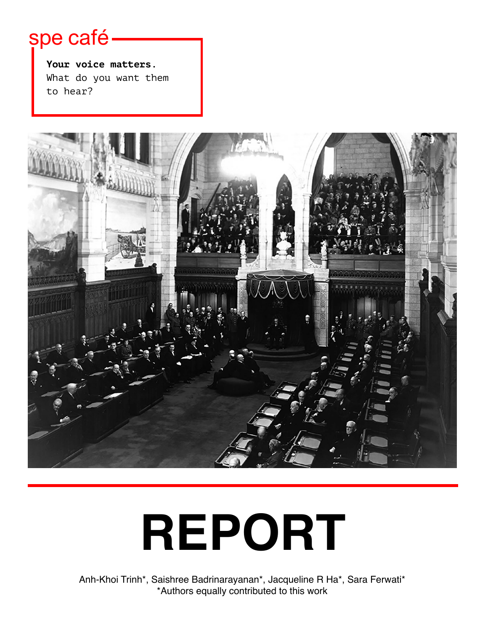# spe café

**Your voice matters.** What do you want them to hear?



# **REPORT**

Anh-Khoi Trinh\*, Saishree Badrinarayanan\*, Jacqueline R Ha\*, Sara Ferwati\* \*Authors equally contributed to this work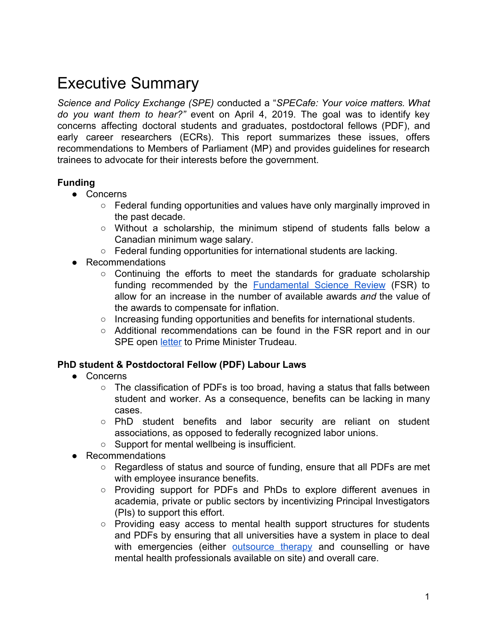#### Executive Summary

*Science and Policy Exchange (SPE)* conducted a "*SPECafe: Your voice matters. What do you want them to hear?"* event on April 4, 2019. The goal was to identify key concerns affecting doctoral students and graduates, postdoctoral fellows (PDF), and early career researchers (ECRs). This report summarizes these issues, offers recommendations to Members of Parliament (MP) and provides guidelines for research trainees to advocate for their interests before the government.

#### **Funding**

- Concerns
	- Federal funding opportunities and values have only marginally improved in the past decade.
	- Without a scholarship, the minimum stipend of students falls below a Canadian minimum wage salary.
	- Federal funding opportunities for international students are lacking.
- Recommendations
	- $\circ$  Continuing the efforts to meet the standards for graduate scholarship funding recommended by the [Fundamental](http://www.sciencereview.ca/eic/site/059.nsf/eng/home) Science Review (FSR) to allow for an increase in the number of available awards *and* the value of the awards to compensate for inflation.
	- Increasing funding opportunities and benefits for international students.
	- Additional recommendations can be found in the FSR report and in our SPE open [letter](http://sp-exchange.ca/images/events/Letter%20Dec%2010%202018%20ENG.pdf) to Prime Minister Trudeau.

#### **PhD student & Postdoctoral Fellow (PDF) Labour Laws**

- Concerns
	- $\circ$  The classification of PDFs is too broad, having a status that falls between student and worker. As a consequence, benefits can be lacking in many cases.
	- PhD student benefits and labor security are reliant on student associations, as opposed to federally recognized labor unions.
	- Support for mental wellbeing is insufficient.
- Recommendations
	- Regardless of status and source of funding, ensure that all PDFs are met with employee insurance benefits.
	- Providing support for PDFs and PhDs to explore different avenues in academia, private or public sectors by incentivizing Principal Investigators (PIs) to support this effort.
	- Providing easy access to mental health support structures for students and PDFs by ensuring that all universities have a system in place to deal with emergencies (either [outsource](https://www.universityaffairs.ca/news/news-article/outsourcing-mental-health-counselling-slowly-expands-canadian-universities/) therapy and counselling or have mental health professionals available on site) and overall care.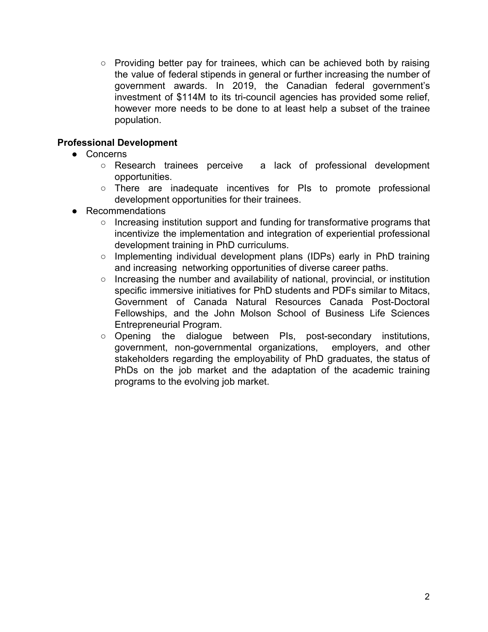○ Providing better pay for trainees, which can be achieved both by raising the value of federal stipends in general or further increasing the number of government awards. In 2019, the Canadian federal government's investment of \$114M to its tri-council agencies has provided some relief, however more needs to be done to at least help a subset of the trainee population.

#### **Professional Development**

- Concerns
	- Research trainees perceive a lack of professional development opportunities.
	- There are inadequate incentives for PIs to promote professional development opportunities for their trainees.
- Recommendations
	- Increasing institution support and funding for transformative programs that incentivize the implementation and integration of experiential professional development training in PhD curriculums.
	- Implementing individual development plans (IDPs) early in PhD training and increasing networking opportunities of diverse career paths.
	- Increasing the number and availability of national, provincial, or institution specific immersive initiatives for PhD students and PDFs similar to Mitacs, Government of Canada Natural Resources Canada Post-Doctoral Fellowships, and the John Molson School of Business Life Sciences Entrepreneurial Program.
	- Opening the dialogue between PIs, post-secondary institutions, government, non-governmental organizations, employers, and other stakeholders regarding the employability of PhD graduates, the status of PhDs on the job market and the adaptation of the academic training programs to the evolving job market.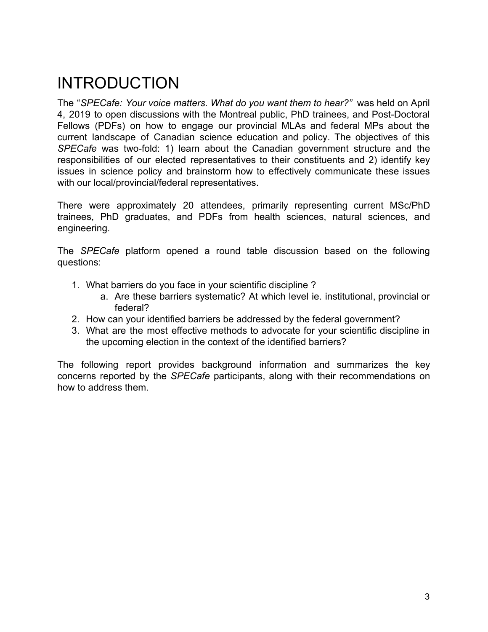## INTRODUCTION

The "*SPECafe: Your voice matters. What do you want them to hear?"* was held on April 4, 2019 to open discussions with the Montreal public, PhD trainees, and Post-Doctoral Fellows (PDFs) on how to engage our provincial MLAs and federal MPs about the current landscape of Canadian science education and policy. The objectives of this *SPECafe* was two-fold: 1) learn about the Canadian government structure and the responsibilities of our elected representatives to their constituents and 2) identify key issues in science policy and brainstorm how to effectively communicate these issues with our local/provincial/federal representatives.

There were approximately 20 attendees, primarily representing current MSc/PhD trainees, PhD graduates, and PDFs from health sciences, natural sciences, and engineering.

The *SPECafe* platform opened a round table discussion based on the following questions:

- 1. What barriers do you face in your scientific discipline ?
	- a. Are these barriers systematic? At which level ie. institutional, provincial or federal?
- 2. How can your identified barriers be addressed by the federal government?
- 3. What are the most effective methods to advocate for your scientific discipline in the upcoming election in the context of the identified barriers?

The following report provides background information and summarizes the key concerns reported by the *SPECafe* participants, along with their recommendations on how to address them.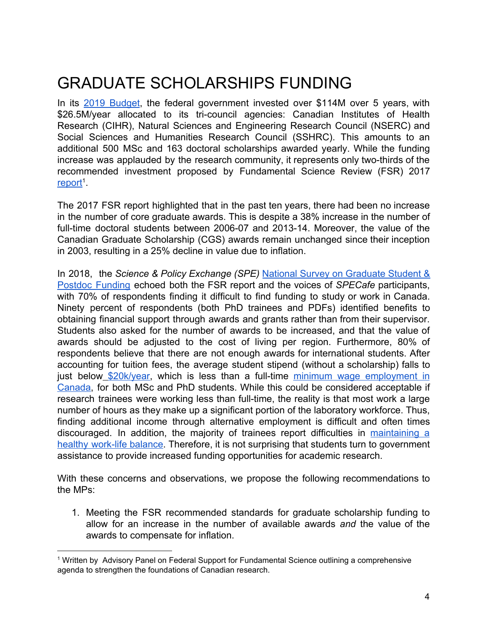## GRADUATE SCHOLARSHIPS FUNDING

In its 2019 [Budget,](https://www.budget.gc.ca/2019/docs/plan/budget-2019-en.pdf) the federal government invested over \$114M over 5 years, with \$26.5M/year allocated to its tri-council agencies: Canadian Institutes of Health Research (CIHR), Natural Sciences and Engineering Research Council (NSERC) and Social Sciences and Humanities Research Council (SSHRC). This amounts to an additional 500 MSc and 163 doctoral scholarships awarded yearly. While the funding increase was applauded by the research community, it represents only two-thirds of the recommended investment proposed by Fundamental Science Review (FSR) 2017 [report](http://www.sciencereview.ca/eic/site/059.nsf/eng/home)<sup>[1](http://www.sciencereview.ca/eic/site/059.nsf/eng/home)</sup>

The 2017 FSR report highlighted that in the past ten years, there had been no increase in the number of core graduate awards. This is despite a 38% increase in the number of full-time doctoral students between 2006-07 and 2013-14. Moreover, the value of the Canadian Graduate Scholarship (CGS) awards remain unchanged since their inception in 2003, resulting in a 25% decline in value due to inflation.

In 2018, the *Science & Policy Exchange (SPE)* National Survey on [Graduate](http://sp-exchange.ca/events/survey/) Student & Postdoc [Funding](http://sp-exchange.ca/events/survey/) echoed both the FSR report and the voices of *SPECafe* participants, with 70% of respondents finding it difficult to find funding to study or work in Canada. Ninety percent of respondents (both PhD trainees and PDFs) identified benefits to obtaining financial support through awards and grants rather than from their supervisor. Students also asked for the number of awards to be increased, and that the value of awards should be adjusted to the cost of living per region. Furthermore, 80% of respondents believe that there are not enough awards for international students. After accounting for tuition fees, the average student stipend (without a scholarship) falls to just below [\\$20k/year](https://blog.scienceborealis.ca/ramen-and-research-how-stem-graduate-students-pay-for-school/), which is less than a full-time minimum wage [employment](http://srv116.services.gc.ca/dimt-wid/sm-mw/rpt1.aspx) in [Canada](http://srv116.services.gc.ca/dimt-wid/sm-mw/rpt1.aspx), f[or](https://blog.scienceborealis.ca/ramen-and-research-how-stem-graduate-students-pay-for-school/) both MSc and PhD students. While this could be considered acceptable if research trainees were working less than full-time, the reality is that most work a large number of hours as they make up a significant portion of the laboratory workforce. Thus, finding additional income through alternative employment is difficult and often times discouraged. In addition, the majority of trainees report difficulties in [maintaining](https://www.nature.com/nature/journal/v550/n7677/full/nj7677-549a.html#link-groups) a healthy [work-life](https://www.nature.com/nature/journal/v550/n7677/full/nj7677-549a.html#link-groups) balance. Therefore, it is not surprising that students turn to government assistance to provide increased funding opportunities for academic research.

With these concerns and observations, we propose the following recommendations to the MPs:

1. Meeting the FSR recommended standards for graduate scholarship funding to allow for an increase in the number of available awards *and* the value of the awards to compensate for inflation.

<sup>1</sup> Written by Advisory Panel on Federal Support for Fundamental Science outlining a comprehensive agenda to strengthen the foundations of Canadian research.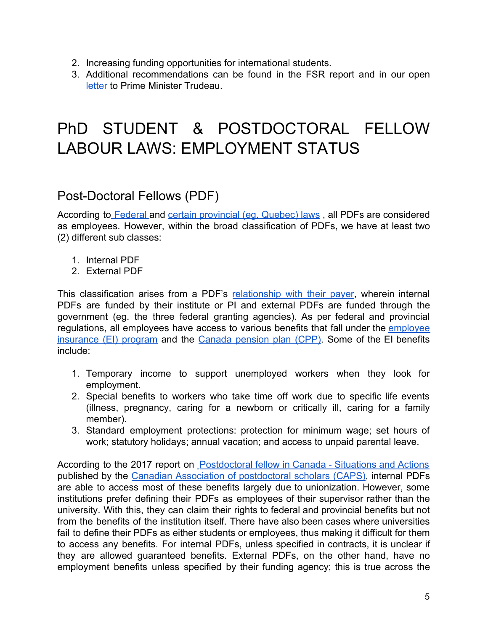- 2. Increasing funding opportunities for international students.
- 3. Additional recommendations can be found in the FSR report and in our open [letter](http://sp-exchange.ca/images/events/Letter%20Dec%2010%202018%20ENG.pdf) to Prime Minister Trudeau.

### PhD STUDENT & POSTDOCTORAL FELLOW LABOUR LAWS: EMPLOYMENT STATUS

#### Post-Doctoral Fellows (PDF)

According to [Federal](http://www.caps-acsp.ca/wp-content/uploads/2017/10/Postdoctoral-Fellows-in-Canada-Situations-and-Actions.pdf) and certain [provincial](https://www.mcgill.ca/gps/postdocs) (eg. Quebec) laws, all PDFs are considered as employees. However, within the broad classification of PDFs, we have at least two (2) different sub classes:

- 1. Internal PDF
- 2. External PDF

This classification arises from a PDF's [relationship](https://www.canada.ca/en/revenue-agency/services/tax/canada-pension-plan-cpp-employment-insurance-ei-rulings/cpp-ei-explained/canada-pension-plan-employment-insurance-explained-4.html) with their payer, wherein internal PDFs are funded by their institute or PI and external PDFs are funded through the government (eg. the three federal granting agencies). As per federal and provincial regulations, all [employee](https://www.canada.ca/en/employment-social-development/programs/ei.html)s have access to various benefits that fall under the employee [insurance](https://www.canada.ca/en/employment-social-development/programs/ei.html) (EI) program and the Canada [pension](https://www.canada.ca/en/services/benefits/publicpensions/cpp/cpp-enhancement.html) plan (CPP). Some of the EI benefits include:

- 1. Temporary income to support unemployed workers when they look for employment.
- 2. Special benefits to workers who take time off work due to specific life events (illness, pregnancy, caring for a newborn or critically ill, caring for a family member).
- 3. Standard employment protections: protection for minimum wage; set hours of work; statutory holidays; annual vacation; and access to unpaid parental leave.

According to the 2017 report on [Postdoctoral](http://www.caps-acsp.ca/wp-content/uploads/2017/10/Postdoctoral-Fellows-in-Canada-Situations-and-Actions.pdf) fellow in Canada - Situations and Actions published by the Canadian Association of [postdoctoral](http://www.caps-acsp.ca/en/) scholars (CAPS), internal PDFs are able to access most of these benefits largely due to unionization. However, some institutions prefer defining their PDFs as employees of their supervisor rather than the university. With this, they can claim their rights to federal and provincial benefits but not from the benefits of the institution itself. There have also been cases where universities fail to define their PDFs as either students or employees, thus making it difficult for them to access any benefits. For internal PDFs, unless specified in contracts, it is unclear if they are allowed guaranteed benefits. External PDFs, on the other hand, have no employment benefits unless specified by their funding agency; this is true across the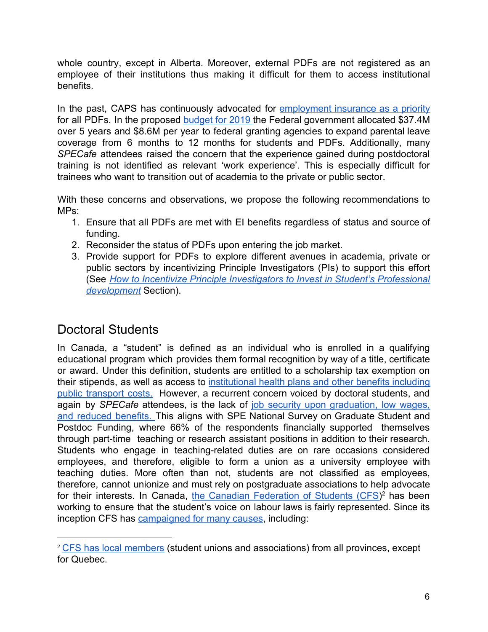whole country, except in Alberta. Moreover, external PDFs are not registered as an employee of their institutions thus making it difficult for them to access institutional benefits.

In the past, CAPS has continuously advocated for [employment](https://www.universityaffairs.ca/opinion/the-black-hole/protection-postdocs-working-canada-employment-insurance-needs-priority/) insurance as a priority for all PDFs. In the proposed [budget](https://budget.gc.ca/2019/docs/plan/chap-01-en.html) for 2019 the Federal government allocated \$37.4M over 5 years and \$8.6M per year to federal granting agencies to expand parental leave coverage from 6 months to 12 months for students and PDFs. Additionally, many *SPECafe* attendees raised the concern that the experience gained during postdoctoral training is not identified as relevant 'work experience'. This is especially difficult for trainees who want to transition out of academia to the private or public sector.

With these concerns and observations, we propose the following recommendations to MPs:

- 1. Ensure that all PDFs are met with EI benefits regardless of status and source of funding.
- 2. Reconsider the status of PDFs upon entering the job market.
- 3. Provide support for PDFs to explore different avenues in academia, private or public sectors by incentivizing Principle Investigators (PIs) to support this effort (See *How to Incentivize Principle [Investigators](#page-10-0) to Invest in Student's Professional [development](#page-10-0)* Section).

#### Doctoral Students

In Canada, a "student" is defined as an individual who is enrolled in a qualifying educational program which provides them formal recognition by way of a title, certificate or award. Under this definition, students are entitled to a scholarship tax exemption on their stipends, as well as access to [institutional](http://www.caps-acsp.ca/wp-content/uploads/2017/10/Postdoctoral-Fellows-in-Canada-Situations-and-Actions.pdf) health plans and other benefits including public [transport](http://www.caps-acsp.ca/wp-content/uploads/2017/10/Postdoctoral-Fellows-in-Canada-Situations-and-Actions.pdf) costs. However, a recurrent concern voiced by doctoral students, and again by *SPECafe* attendees, is the lack of job security upon [graduation,](https://www.theguardian.com/higher-education-network/2015/jul/16/should-phd-students-be-classed-as-employees) low wages, and reduced [benefits.](https://www.theguardian.com/higher-education-network/2015/jul/16/should-phd-students-be-classed-as-employees) This aligns with SPE National Survey on Graduate Student and Postdoc Funding, where 66% of the respondents financially supported themselves through part-time teaching or research assistant positions in addition to their research. Students who engage in teaching-related duties are on rare occasions considered employees, and therefore, eligible to form a union as a university employee with teaching duties. More often than not, students are not classified as employees, therefore, cannot unionize and must rely on postgraduate associations to help advocate for their interests. In Canada, the Canadian [Federation](https://cfs-fcee.ca/) of Students (CFS)<sup>2</sup> has been working to ensure that the student's voice on labour laws is fairly represented. Since its inception CFS has [campaigned for many causes](https://cfs-fcee.ca/about/victories/), including:

<sup>&</sup>lt;sup>2</sup> [CFS has local members](https://cfs-fcee.ca/about/member-locals/) (student unions and associations) from all provinces, except for Quebec.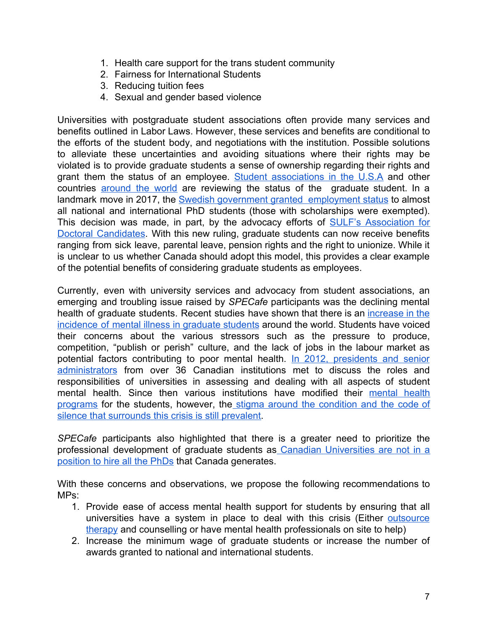- 1. Health care support for the trans student community
- 2. Fairness for International Students
- 3. Reducing tuition fees
- 4. Sexual and gender based violence

Universities with postgraduate student associations often provide many services and benefits outlined in Labor Laws. However, these services and benefits are conditional to the efforts of the student body, and negotiations with the institution. Possible solutions to alleviate these uncertainties and avoiding situations where their rights may be violated is to provide graduate students a sense of ownership regarding their rights and grant them the status of an employee. Student [associations](https://www.sciencemag.org/careers/2018/06/push-graduate-student-unions-signals-deep-structural-shift-academia) in the U.S.A and other countries [around](https://www.timeshighereducation.com/news/phd-students-time-to-make-them-university-employees) the world are reviewing the status of the graduate student. In a landmark move in 2017, the Swedish government granted [employment](https://www.universityworldnews.com/post.php?story=201704201449161) status to almost all national and international PhD students (those with scholarships were exempted). This decision was made, in part, by the advocacy efforts of SULF's [Association](https://sulf.se/) for Doctoral [Candidates](https://sulf.se/). With this new ruling, graduate students can now receive benefits ranging from sick leave, parental leave, pension rights and the right to unionize. While it is unclear to us whether Canada should adopt this model, this provides a clear example of the potential benefits of considering graduate students as employees.

Currently, even with university services and advocacy from student associations, an emerging and troubling issue raised by *SPECafe* participants was the declining mental health of graduate students. Recent studies have shown that there is an [increase](https://www.nature.com/articles/d41586-019-01492-0) in the [incidence](https://www.nature.com/articles/d41586-019-01492-0) of mental illness in graduate students around the world. Students have voiced their concerns about the various stressors such as the pressure to produce, competition, "publish or perish" culture, and the lack of jobs in the labour market as potential factors contributing to poor mental health. In 2012, [presidents](https://www.universityaffairs.ca/opinion/speculative-diction/phd-education-and-mental-health-a-follow-up/) and senior [administrators](https://www.universityaffairs.ca/opinion/speculative-diction/phd-education-and-mental-health-a-follow-up/) from over 36 Canadian institutions met to discuss the roles and responsibilities of universities in assessing and dealing with all aspects of student [mental](https://www.universityaffairs.ca/news/news-article/universities-step-up-mental-health-efforts/) health. Since then various institutions have modified their mental health [programs](https://www.universityaffairs.ca/news/news-article/universities-step-up-mental-health-efforts/) for the students, however, the stigma around the [condition](https://www.sciencemag.org/careers/2017/04/phd-students-face-significant-mental-health-challenges) and the code of [silence that surrounds this crisis is still prevalent.](https://www.sciencemag.org/careers/2017/04/phd-students-face-significant-mental-health-challenges)

*SPECafe* participants also highlighted that there is a greater need to prioritize the professional development of graduate students as Canadian [Universities](https://www.theglobeandmail.com/news/national/education/who-will-hire-all-the-phds-not-canadas-universities/article10976412/) are not in a [position to hire all the PhDs](https://www.theglobeandmail.com/news/national/education/who-will-hire-all-the-phds-not-canadas-universities/article10976412/) that Canada generates.

With these concerns and observations, we propose the following recommendations to MPs:

- 1. Provide ease of access mental health support for students by ensuring that all universities have a system in place to deal with this crisis (Either [outsource](https://www.universityaffairs.ca/news/news-article/outsourcing-mental-health-counselling-slowly-expands-canadian-universities/) [therapy](https://www.universityaffairs.ca/news/news-article/outsourcing-mental-health-counselling-slowly-expands-canadian-universities/) and counselling or have mental health professionals on site to help)
- 2. Increase the minimum wage of graduate students or increase the number of awards granted to national and international students.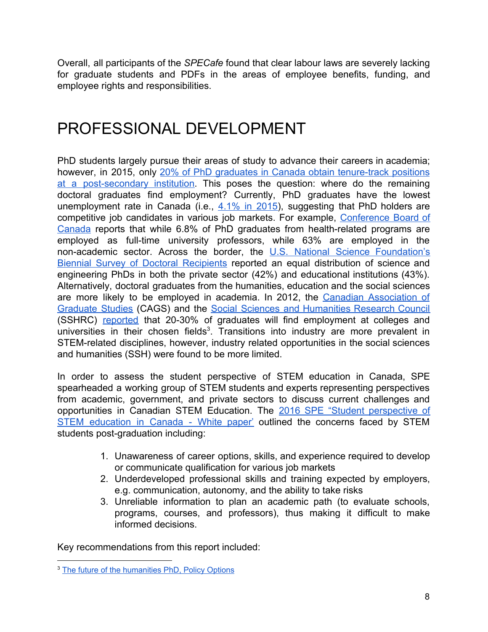Overall, all participants of the *SPECafe* found that clear labour laws are severely lacking for graduate students and PDFs in the areas of employee benefits, funding, and employee rights and responsibilities.

#### PROFESSIONAL DEVELOPMENT

PhD students largely pursue their areas of study to advance their careers in academia; however, in 2015, only 20% of PhD graduates in Canada obtain [tenure-track](https://www.conferenceboard.ca/e-library/abstract.aspx?did=7564) positions at a [post-secondary](https://www.conferenceboard.ca/e-library/abstract.aspx?did=7564) institution. This poses the question: where do the remaining doctoral graduates find employment? Currently, PhD graduates have the lowest unemployment rate in Canada (i.e.,  $4.1\%$  in 2015), suggesting that PhD holders are competitive job candidates in various job markets. For example, [Conference](https://www.conferenceboard.ca/) Board of [Canada](https://www.conferenceboard.ca/) reports that while 6.8% of PhD graduates from health-related programs are employed as full-time university professors, while 63% are employed in the non-academic sector. Across the border, the U.S. National Science [Foundation's](https://www.nsf.gov/statistics/doctoratework/) Biennial Survey of Doctoral [Recipients](https://www.nsf.gov/statistics/doctoratework/) reported an equal distribution of science and engineering PhDs in both the private sector (42%) and educational institutions (43%). Alternatively, doctoral graduates from the humanities, education and the social sciences are more likely to be employed in academia. In 2012, the Canadian [Association](https://cags.ca/) of [Graduate](https://cags.ca/) Studies (CAGS) and the Social Sciences and [Humanities](http://www.sshrc-crsh.gc.ca/home-accueil-eng.aspx) Research Council (SSHRC) [reported](http://www.cags.ca/documents/publications/working/Report%20on%20Graduate%20Student%20Professional%20Development%20%20-%20A%20survey%20with%20recommendations%20FINAL%20Eng.OCT%202012.pdf) that 20-30% of graduates will find employment at colleges and universities in their chosen fields<sup>3</sup>. Transitions into industry are more prevalent in STEM-related disciplines, however, industry related opportunities in the social sciences and humanities (SSH) were found to be more limited.

In order to assess the student perspective of STEM education in Canada, SPE spearheaded a working group of STEM students and experts representing perspectives from academic, government, and private sectors to discuss current challenges and opportunities in Canadian STEM Education. The 2016 SPE "Student [perspective](http://sp-exchange.ca/news/STEM-White-Paper/) of STEM [education](http://sp-exchange.ca/news/STEM-White-Paper/) in Canada - White paper' outlined the concerns faced by STEM students post-graduation including:

- 1. Unawareness of career options, skills, and experience required to develop or communicate qualification for various job markets
- 2. Underdeveloped professional skills and training expected by employers, e.g. communication, autonomy, and the ability to take risks
- 3. Unreliable information to plan an academic path (to evaluate schools, programs, courses, and professors), thus making it difficult to make informed decisions.

Key recommendations from this report included:

<sup>&</sup>lt;sup>3</sup> The future of the [humanities](https://policyoptions.irpp.org/magazines/policyflix/yachnin-yetter/) PhD, Policy Options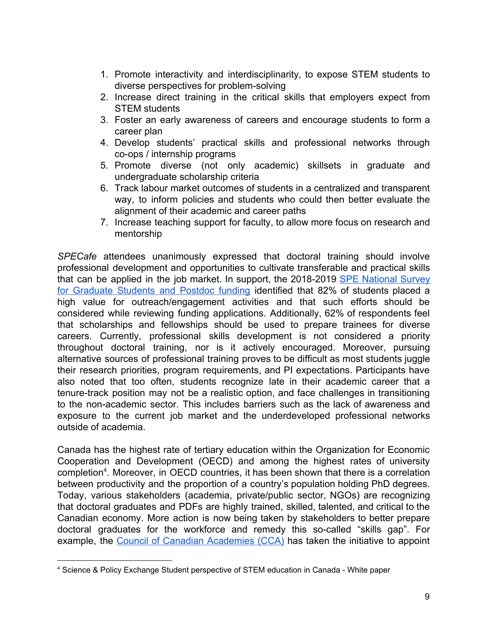- 1. Promote interactivity and interdisciplinarity, to expose STEM students to diverse perspectives for problem-solving
- 2. Increase direct training in the critical skills that employers expect from STEM students
- 3. Foster an early awareness of careers and encourage students to form a career plan
- 4. Develop students' practical skills and professional networks through co-ops / internship programs
- 5. Promote diverse (not only academic) skillsets in graduate and undergraduate scholarship criteria
- 6. Track labour market outcomes of students in a centralized and transparent way, to inform policies and students who could then better evaluate the alignment of their academic and career paths
- 7. Increase teaching support for faculty, to allow more focus on research and mentorship

*SPECafe* attendees unanimously expressed that doctoral training should involve professional development and opportunities to cultivate transferable and practical skills that can be applied in the job market. In support, the 2018-2019 SPE [National](https://www.theglobeandmail.com/opinion/article-to-cultivate-a-new-culture-of-science-canada-must-invest-in-research/) Survey for [Graduate](https://www.theglobeandmail.com/opinion/article-to-cultivate-a-new-culture-of-science-canada-must-invest-in-research/) Students and Postdoc funding identified that 82% of students placed a high value for outreach/engagement activities and that such efforts should be considered while reviewing funding applications. Additionally, 62% of respondents feel that scholarships and fellowships should be used to prepare trainees for diverse careers. Currently, professional skills development is not considered a priority throughout doctoral training, nor is it actively encouraged. Moreover, pursuing alternative sources of professional training proves to be difficult as most students juggle their research priorities, program requirements, and PI expectations. Participants have also noted that too often, students recognize late in their academic career that a tenure-track position may not be a realistic option, and face challenges in transitioning to the non-academic sector. This includes barriers such as the lack of awareness and exposure to the current job market and the underdeveloped professional networks outside of academia.

Canada has the highest rate of tertiary education within the Organization for Economic Cooperation and Development (OECD) and among the highest rates of university completion<sup>4</sup>. Moreover, in OECD countries, it has been shown that there is a correlation between productivity and the proportion of a country's population holding PhD degrees. Today, various stakeholders (academia, private/public sector, NGOs) are recognizing that doctoral graduates and PDFs are highly trained, skilled, talented, and critical to the Canadian economy. More action is now being taken by stakeholders to better prepare doctoral graduates for the workforce and remedy this so-called "skills gap". For example, the Council of Canadian [Academies](https://cca-reports.ca/) (CCA) has taken the initiative to appoint

<sup>4</sup> Science & Policy Exchange Student perspective of STEM education in Canada - White paper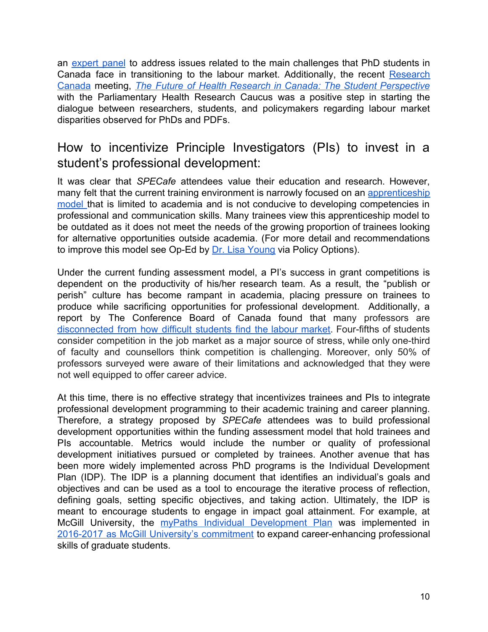an [expert](https://cca-reports.ca/cca-appoints-an-expert-panel-on-the-labour-market-transition-of-phd-graduates/) panel to address issues related to the main challenges that PhD students in Canada face in transitioning to the labour market. Additionally, the recent [Research](https://rc-rc.ca/) [Canada](https://rc-rc.ca/) meeting, *The Future of Health Research in Canada: The Student [Perspective](https://rc-rc.ca/student-perspective-luncheon/)* with the Parliamentary Health Research Caucus was a positive step in starting the dialogue between researchers, students, and policymakers regarding labour market disparities observed for PhDs and PDFs.

#### <span id="page-10-0"></span>How to incentivize Principle Investigators (PIs) to invest in a student's professional development:

It was clear that *SPECafe* attendees value their education and research. However, many felt that the current training environment is narrowly focused on an [apprenticeship](https://policyoptions.irpp.org/magazines/march-2019/were-missing-a-potent-plan-to-train-the-next-generation-of-researchers/) [model](https://policyoptions.irpp.org/magazines/march-2019/were-missing-a-potent-plan-to-train-the-next-generation-of-researchers/) that is limited to academia and is not conducive to developing competencies in professional and communication skills. Many trainees view this apprenticeship model to be outdated as it does not meet the needs of the growing proportion of trainees looking for alternative opportunities outside academia. (For more detail and recommendations to improve this model see Op-Ed by [Dr. Lisa Young](https://policyoptions.irpp.org/magazines/march-2019/were-missing-a-potent-plan-to-train-the-next-generation-of-researchers/) via Policy Options).

Under the current funding assessment model, a PI's success in grant competitions is dependent on the productivity of his/her research team. As a result, the "publish or perish" culture has become rampant in academia, placing pressure on trainees to produce while sacrificing opportunities for professional development. Additionally, a report by The Conference Board of Canada found that many professors are [disconnected](https://www.theglobeandmail.com/news/national/study-finds-gap-between-university-students-facultys-perception-of-educations-economic-value/article38081541/) from how difficult students find the labour market. Four-fifths of students consider competition in the job market as a major source of stress, while only one-third of faculty and counsellors think competition is challenging. Moreover, only 50% of professors surveyed were aware of their limitations and acknowledged that they were not well equipped to offer career advice.

At this time, there is no effective strategy that incentivizes trainees and PIs to integrate professional development programming to their academic training and career planning. Therefore, a strategy proposed by *SPECafe* attendees was to build professional development opportunities within the funding assessment model that hold trainees and PIs accountable. Metrics would include the number or quality of professional development initiatives pursued or completed by trainees. Another avenue that has been more widely implemented across PhD programs is the Individual Development Plan (IDP). The IDP is a planning document that identifies an individual's goals and objectives and can be used as a tool to encourage the iterative process of reflection, defining goals, setting specific objectives, and taking action. Ultimately, the IDP is meant to encourage students to engage in impact goal attainment. For example, at McGill University, the myPaths Individual [Development](https://www.mcgill.ca/caps/files/caps/caps_idp.pdf) Plan was implemented in 2016-2017 as McGill University's [commitment](https://www.mcgill.ca/gps/students/idp) to expand career-enhancing professional skills of graduate students.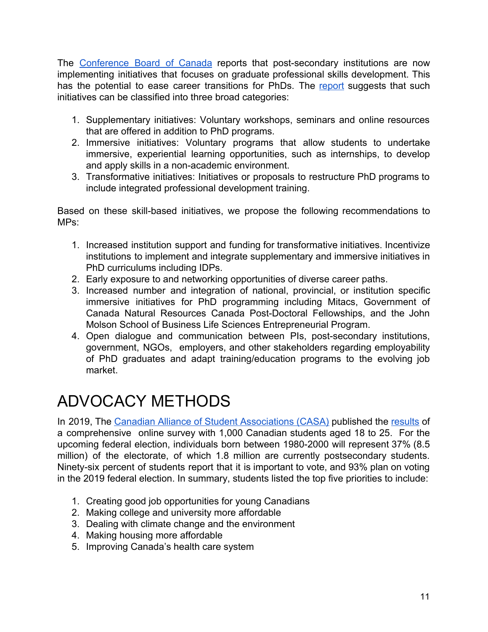The [Conference](https://www.conferenceboard.ca/) Board of Canada reports that post-secondary institutions are now implementing initiatives that focuses on graduate professional skills development. This has the potential to ease career transitions for PhDs. The [report](https://www.conferenceboard.ca/e-library/abstract.aspx?did=7564) suggests that such initiatives can be classified into three broad categories:

- 1. Supplementary initiatives: Voluntary workshops, seminars and online resources that are offered in addition to PhD programs.
- 2. Immersive initiatives: Voluntary programs that allow students to undertake immersive, experiential learning opportunities, such as internships, to develop and apply skills in a non-academic environment.
- 3. Transformative initiatives: Initiatives or proposals to restructure PhD programs to include integrated professional development training.

Based on these skill-based initiatives, we propose the following recommendations to MPs:

- 1. Increased institution support and funding for transformative initiatives. Incentivize institutions to implement and integrate supplementary and immersive initiatives in PhD curriculums including IDPs.
- 2. Early exposure to and networking opportunities of diverse career paths.
- 3. Increased number and integration of national, provincial, or institution specific immersive initiatives for PhD programming including Mitacs, Government of Canada Natural Resources Canada Post-Doctoral Fellowships, and the John Molson School of Business Life Sciences Entrepreneurial Program.
- 4. Open dialogue and communication between PIs, post-secondary institutions, government, NGOs, employers, and other stakeholders regarding employability of PhD graduates and adapt training/education programs to the evolving job market.

# ADVOCACY METHODS

In 2019, The Canadian Alliance of Student [Associations](https://www.casa-acae.com/) (CASA) published the [results](https://d3n8a8pro7vhmx.cloudfront.net/casaacae/pages/3048/attachments/original/1560861077/The_Student_Vote.pdf?1560861077) of a comprehensive online survey with 1,000 Canadian students aged 18 to 25. For the upcoming federal election, individuals born between 1980-2000 will represent 37% (8.5 million) of the electorate, of which 1.8 million are currently postsecondary students. Ninety-six percent of students report that it is important to vote, and 93% plan on voting in the 2019 federal election. In summary, students listed the top five priorities to include:

- 1. Creating good job opportunities for young Canadians
- 2. Making college and university more affordable
- 3. Dealing with climate change and the environment
- 4. Making housing more affordable
- 5. Improving Canada's health care system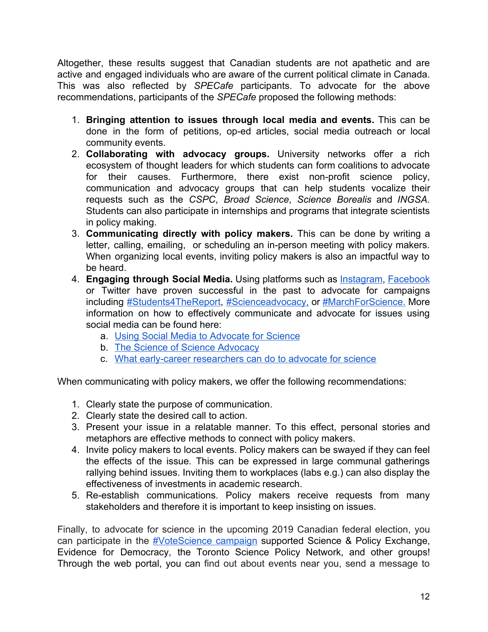Altogether, these results suggest that Canadian students are not apathetic and are active and engaged individuals who are aware of the current political climate in Canada. This was also reflected by *SPECafe* participants. To advocate for the above recommendations, participants of the *SPECafe* proposed the following methods:

- 1. **Bringing attention to issues through local media and events.** This can be done in the form of petitions, op-ed articles, social media outreach or local community events.
- 2. **Collaborating with advocacy groups.** University networks offer a rich ecosystem of thought leaders for which students can form coalitions to advocate for their causes. Furthermore, there exist non-profit science policy, communication and advocacy groups that can help students vocalize their requests such as the *CSPC*, *Broad Science*, *Science Borealis* and *INGSA*. Students can also participate in internships and programs that integrate scientists in policy making.
- 3. **Communicating directly with policy makers.** This can be done by writing a letter, calling, emailing, or scheduling an in-person meeting with policy makers. When organizing local events, inviting policy makers is also an impactful way to be heard.
- 4. **Engaging through Social Media.** Using platforms such as [Instagram,](http://www.fromthelabbench.com/from-the-lab-bench-science-blog/2018/3/25/why-we-scientists-do-instagram) [Facebook](https://journals.plos.org/plosbiology/article?id=10.1371/journal.pbio.2002020) or Twitter have proven successful in the past to advocate for campaigns including [#Students4TheReport,](https://twitter.com/hashtag/students4thereport?lang=en) [#Scienceadvocacy,](https://twitter.com/hashtag/ScienceAdvocacy?src=hash) or [#MarchForScience.](https://twitter.com/hashtag/MarchForScience?src=hash) More information on how to effectively communicate an[d](https://twitter.com/hashtag/ScienceAdvocacy?src=hash) advocate for issues using social media can be found here:
	- a. [Using Social Media to Advocate for Science](https://medium.com/marchforscience-blog/using-social-media-to-advocate-for-science-c152ec780729)
	- b. [The Science of Science Advocacy](https://www.the-scientist.com/news-opinion/the-science-of-science-advocacy-31850)
	- c. [What early-career researchers can do to advocate for science](https://www.sciencemag.org/careers/2017/02/what-early-career-researchers-can-do-advocate-science)

When communicating with policy makers, we offer the following recommendations:

- 1. Clearly state the purpose of communication.
- 2. Clearly state the desired call to action.
- 3. Present your issue in a relatable manner. To this effect, personal stories and metaphors are effective methods to connect with policy makers.
- 4. Invite policy makers to local events. Policy makers can be swayed if they can feel the effects of the issue. This can be expressed in large communal gatherings rallying behind issues. Inviting them to workplaces (labs e.g.) can also display the effectiveness of investments in academic research.
- 5. Re-establish communications. Policy makers receive requests from many stakeholders and therefore it is important to keep insisting on issues.

Finally, to advocate for science in the upcoming 2019 Canadian federal election, you can participate in the [#VoteScience](https://www.votescience.ca/) campaign supported Science & Policy Exchange, Evidence for Democracy, the Toronto Science Policy Network, and other groups! Through the web portal, you can find out about events near you, send a message to